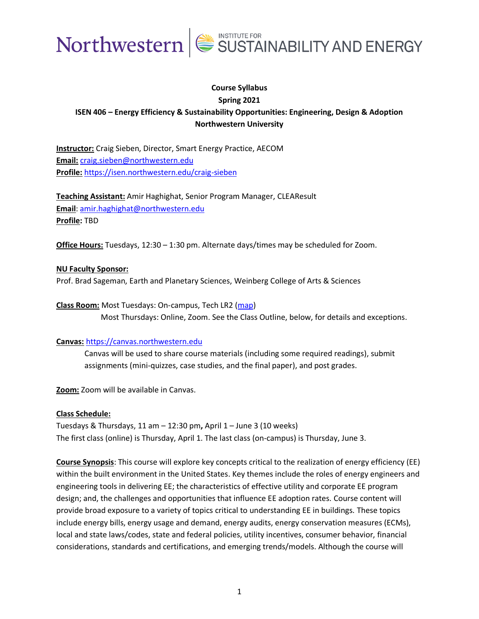

## **Course Syllabus Spring 2021 ISEN 406 – Energy Efficiency & Sustainability Opportunities: Engineering, Design & Adoption Northwestern University**

**Instructor:** Craig Sieben, Director, Smart Energy Practice, AECOM **Email:** [craig.sieben@northwestern.edu](mailto:craig.sieben@northwestern.edu) **Profile:** <https://isen.northwestern.edu/craig-sieben>

**Teaching Assistant:** Amir Haghighat, Senior Program Manager, CLEAResult **Email**: [amir.haghighat@northwestern.edu](mailto:amir.haghighat@northwestern.edu) **Profile:** TBD

**Office Hours:** Tuesdays, 12:30 – 1:30 pm. Alternate days/times may be scheduled for Zoom.

## **NU Faculty Sponsor:**

Prof. Brad Sageman, Earth and Planetary Sciences, Weinberg College of Arts & Sciences

**Class Room:** Most Tuesdays: On-campus, Tech LR2 [\(map\)](https://www.mccormick.northwestern.edu/contact/tech-room-finder-map.php?id=L171&room-floor=1&room-id=789&room-ingress=) Most Thursdays: Online, Zoom. See the Class Outline, below, for details and exceptions.

## **Canvas:** [https://canvas.northwestern.edu](https://canvas.northwestern.edu/)

Canvas will be used to share course materials (including some required readings), submit assignments (mini-quizzes, case studies, and the final paper), and post grades.

**Zoom:** Zoom will be available in Canvas.

## **Class Schedule:**

Tuesdays & Thursdays, 11 am – 12:30 pm**,** April 1 – June 3 (10 weeks) The first class (online) is Thursday, April 1. The last class (on-campus) is Thursday, June 3.

**Course Synopsis**: This course will explore key concepts critical to the realization of energy efficiency (EE) within the built environment in the United States. Key themes include the roles of energy engineers and engineering tools in delivering EE; the characteristics of effective utility and corporate EE program design; and, the challenges and opportunities that influence EE adoption rates. Course content will provide broad exposure to a variety of topics critical to understanding EE in buildings. These topics include energy bills, energy usage and demand, energy audits, energy conservation measures (ECMs), local and state laws/codes, state and federal policies, utility incentives, consumer behavior, financial considerations, standards and certifications, and emerging trends/models. Although the course will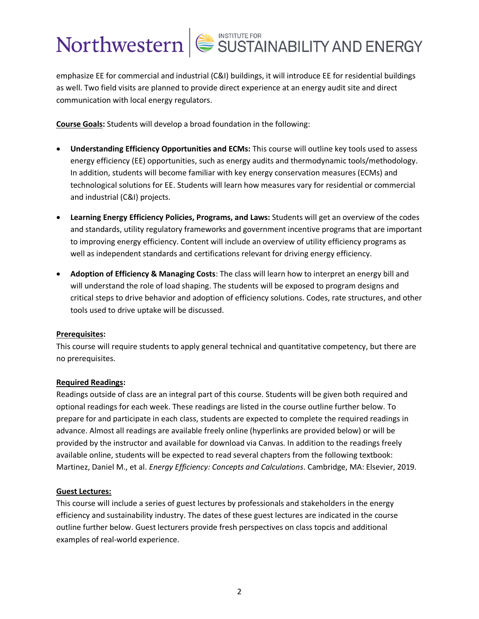emphasize EE for commercial and industrial (C&I) buildings, it will introduce EE for residential buildings as well. Two field visits are planned to provide direct experience at an energy audit site and direct communication with local energy regulators.

**Course Goals:** Students will develop a broad foundation in the following:

- **Understanding Efficiency Opportunities and ECMs:** This course will outline key tools used to assess energy efficiency (EE) opportunities, such as energy audits and thermodynamic tools/methodology. In addition, students will become familiar with key energy conservation measures (ECMs) and technological solutions for EE. Students will learn how measures vary for residential or commercial and industrial (C&I) projects.
- **Learning Energy Efficiency Policies, Programs, and Laws:** Students will get an overview of the codes and standards, utility regulatory frameworks and government incentive programs that are important to improving energy efficiency. Content will include an overview of utility efficiency programs as well as independent standards and certifications relevant for driving energy efficiency.
- **Adoption of Efficiency & Managing Costs**: The class will learn how to interpret an energy bill and will understand the role of load shaping. The students will be exposed to program designs and critical steps to drive behavior and adoption of efficiency solutions. Codes, rate structures, and other tools used to drive uptake will be discussed.

## **Prerequisites:**

This course will require students to apply general technical and quantitative competency, but there are no prerequisites.

## **Required Readings:**

Readings outside of class are an integral part of this course. Students will be given both required and optional readings for each week. These readings are listed in the course outline further below. To prepare for and participate in each class, students are expected to complete the required readings in advance. Almost all readings are available freely online (hyperlinks are provided below) or will be provided by the instructor and available for download via Canvas. In addition to the readings freely available online, students will be expected to read several chapters from the following textbook: Martinez, Daniel M., et al. *Energy Efficiency: Concepts and Calculations*. Cambridge, MA: Elsevier, 2019.

## **Guest Lectures:**

This course will include a series of guest lectures by professionals and stakeholders in the energy efficiency and sustainability industry. The dates of these guest lectures are indicated in the course outline further below. Guest lecturers provide fresh perspectives on class topcis and additional examples of real-world experience.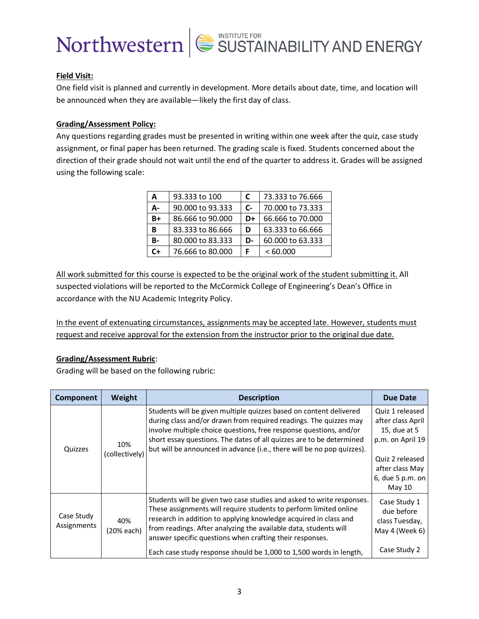

## **Field Visit:**

One field visit is planned and currently in development. More details about date, time, and location will be announced when they are available—likely the first day of class.

## **Grading/Assessment Policy:**

Any questions regarding grades must be presented in writing within one week after the quiz, case study assignment, or final paper has been returned. The grading scale is fixed. Students concerned about the direction of their grade should not wait until the end of the quarter to address it. Grades will be assigned using the following scale:

| A  | 93.333 to 100    | C    | 73.333 to 76.666 |
|----|------------------|------|------------------|
| А- | 90.000 to 93.333 | $c-$ | 70,000 to 73,333 |
| B+ | 86.666 to 90.000 | D+   | 66.666 to 70,000 |
| В  | 83.333 to 86.666 | D    | 63.333 to 66.666 |
| B- | 80,000 to 83,333 | D-   | 60,000 to 63,333 |
| C+ | 76.666 to 80.000 |      | <60.000          |

All work submitted for this course is expected to be the original work of the student submitting it. All suspected violations will be reported to the McCormick College of Engineering's Dean's Office in accordance with the NU Academic Integrity Policy.

In the event of extenuating circumstances, assignments may be accepted late. However, students must request and receive approval for the extension from the instructor prior to the original due date.

## **Grading/Assessment Rubric**:

Grading will be based on the following rubric:

| Component                 | Weight                | <b>Description</b>                                                                                                                                                                                                                                                                                                                                                                                                   | Due Date                                                                                                                                     |
|---------------------------|-----------------------|----------------------------------------------------------------------------------------------------------------------------------------------------------------------------------------------------------------------------------------------------------------------------------------------------------------------------------------------------------------------------------------------------------------------|----------------------------------------------------------------------------------------------------------------------------------------------|
| Quizzes                   | 10%<br>(collectively) | Students will be given multiple quizzes based on content delivered<br>during class and/or drawn from required readings. The quizzes may<br>involve multiple choice questions, free response questions, and/or<br>short essay questions. The dates of all quizzes are to be determined<br>but will be announced in advance (i.e., there will be no pop quizzes).                                                      | Quiz 1 released<br>after class April<br>15, due at 5<br>p.m. on April 19<br>Quiz 2 released<br>after class May<br>6, due 5 p.m. on<br>May 10 |
| Case Study<br>Assignments | 40%<br>(20% each)     | Students will be given two case studies and asked to write responses.<br>These assignments will require students to perform limited online<br>research in addition to applying knowledge acquired in class and<br>from readings. After analyzing the available data, students will<br>answer specific questions when crafting their responses.<br>Each case study response should be 1,000 to 1,500 words in length, | Case Study 1<br>due before<br>class Tuesday,<br>May 4 (Week 6)<br>Case Study 2                                                               |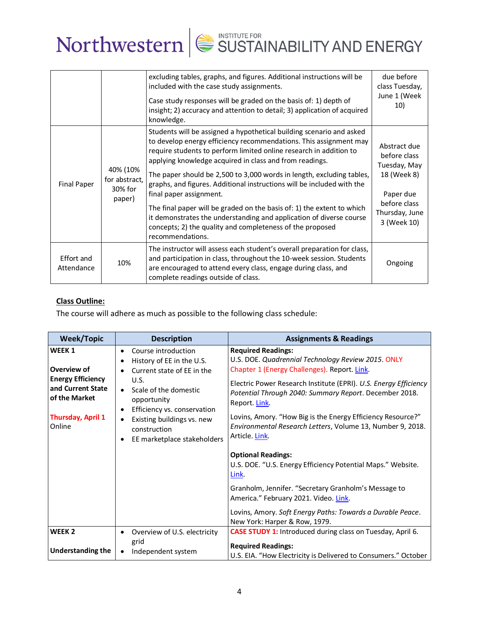|                          |                                                | excluding tables, graphs, and figures. Additional instructions will be<br>included with the case study assignments.<br>Case study responses will be graded on the basis of: 1) depth of<br>insight; 2) accuracy and attention to detail; 3) application of acquired<br>knowledge.                                                                                                                                                                                                                                                                                                                                                                                                          | due before<br>class Tuesday,<br>June 1 (Week<br>10)                                                                       |
|--------------------------|------------------------------------------------|--------------------------------------------------------------------------------------------------------------------------------------------------------------------------------------------------------------------------------------------------------------------------------------------------------------------------------------------------------------------------------------------------------------------------------------------------------------------------------------------------------------------------------------------------------------------------------------------------------------------------------------------------------------------------------------------|---------------------------------------------------------------------------------------------------------------------------|
| <b>Final Paper</b>       | 40% (10%<br>for abstract,<br>30% for<br>paper) | Students will be assigned a hypothetical building scenario and asked<br>to develop energy efficiency recommendations. This assignment may<br>require students to perform limited online research in addition to<br>applying knowledge acquired in class and from readings.<br>The paper should be 2,500 to 3,000 words in length, excluding tables,<br>graphs, and figures. Additional instructions will be included with the<br>final paper assignment.<br>The final paper will be graded on the basis of: 1) the extent to which<br>it demonstrates the understanding and application of diverse course<br>concepts; 2) the quality and completeness of the proposed<br>recommendations. | Abstract due<br>before class<br>Tuesday, May<br>18 (Week 8)<br>Paper due<br>before class<br>Thursday, June<br>3 (Week 10) |
| Effort and<br>Attendance | 10%                                            | The instructor will assess each student's overall preparation for class,<br>and participation in class, throughout the 10-week session. Students<br>are encouraged to attend every class, engage during class, and<br>complete readings outside of class.                                                                                                                                                                                                                                                                                                                                                                                                                                  | Ongoing                                                                                                                   |

## **Class Outline:**

The course will adhere as much as possible to the following class schedule:

| <b>Week/Topic</b>                                                                                                                        | <b>Description</b>                                                                                                                                                                                                                                                                | <b>Assignments &amp; Readings</b>                                                                                                                                                                                                                                                                                                                                                                                            |
|------------------------------------------------------------------------------------------------------------------------------------------|-----------------------------------------------------------------------------------------------------------------------------------------------------------------------------------------------------------------------------------------------------------------------------------|------------------------------------------------------------------------------------------------------------------------------------------------------------------------------------------------------------------------------------------------------------------------------------------------------------------------------------------------------------------------------------------------------------------------------|
| WEEK <sub>1</sub><br>Overview of<br><b>Energy Efficiency</b><br>and Current State<br>of the Market<br><b>Thursday, April 1</b><br>Online | Course introduction<br>$\bullet$<br>History of EE in the U.S.<br>Current state of EE in the<br>U.S.<br>Scale of the domestic<br>opportunity<br>Efficiency vs. conservation<br>$\bullet$<br>Existing buildings vs. new<br>construction<br>EE marketplace stakeholders<br>$\bullet$ | <b>Required Readings:</b><br>U.S. DOE. Quadrennial Technology Review 2015. ONLY<br>Chapter 1 (Energy Challenges). Report. Link.<br>Electric Power Research Institute (EPRI). U.S. Energy Efficiency<br>Potential Through 2040: Summary Report. December 2018.<br>Report. Link.<br>Lovins, Amory. "How Big is the Energy Efficiency Resource?"<br>Environmental Research Letters, Volume 13, Number 9, 2018.<br>Article. Link |
|                                                                                                                                          |                                                                                                                                                                                                                                                                                   | <b>Optional Readings:</b><br>U.S. DOE. "U.S. Energy Efficiency Potential Maps." Website.<br>Link.<br>Granholm, Jennifer. "Secretary Granholm's Message to<br>America." February 2021. Video. Link.<br>Lovins, Amory. Soft Energy Paths: Towards a Durable Peace.<br>New York: Harper & Row, 1979.                                                                                                                            |
| WEEK <sub>2</sub>                                                                                                                        | Overview of U.S. electricity<br>٠                                                                                                                                                                                                                                                 | <b>CASE STUDY 1:</b> Introduced during class on Tuesday, April 6.                                                                                                                                                                                                                                                                                                                                                            |
| <b>Understanding the</b>                                                                                                                 | grid<br>Independent system                                                                                                                                                                                                                                                        | <b>Required Readings:</b><br>U.S. EIA. "How Electricity is Delivered to Consumers." October                                                                                                                                                                                                                                                                                                                                  |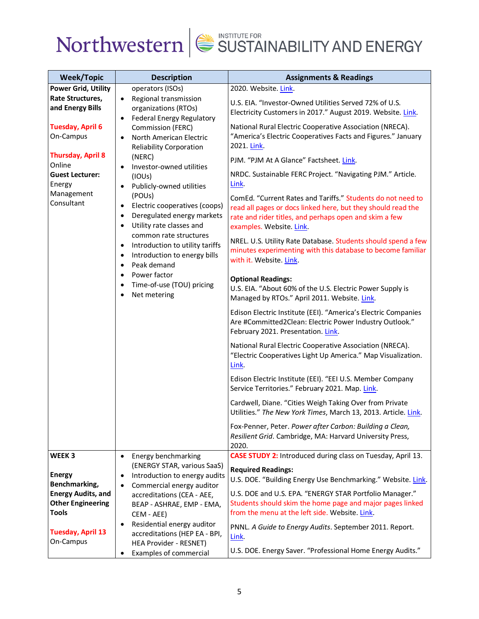

| <b>Week/Topic</b>                                                                                                                                                                                                | <b>Description</b>                                                                                                                                                                                                                                                                                                                                                                                                                                                                                                                                                                                                                             | <b>Assignments &amp; Readings</b>                                                                                                                                                                                                                                                                                                                                                                                                                                                                                                                                                                                                                                                                                                                                                                                                                                                                                                                                                                                                                                                                                                                                                                                                                                                                                                                                                                                                                                                                                                                     |
|------------------------------------------------------------------------------------------------------------------------------------------------------------------------------------------------------------------|------------------------------------------------------------------------------------------------------------------------------------------------------------------------------------------------------------------------------------------------------------------------------------------------------------------------------------------------------------------------------------------------------------------------------------------------------------------------------------------------------------------------------------------------------------------------------------------------------------------------------------------------|-------------------------------------------------------------------------------------------------------------------------------------------------------------------------------------------------------------------------------------------------------------------------------------------------------------------------------------------------------------------------------------------------------------------------------------------------------------------------------------------------------------------------------------------------------------------------------------------------------------------------------------------------------------------------------------------------------------------------------------------------------------------------------------------------------------------------------------------------------------------------------------------------------------------------------------------------------------------------------------------------------------------------------------------------------------------------------------------------------------------------------------------------------------------------------------------------------------------------------------------------------------------------------------------------------------------------------------------------------------------------------------------------------------------------------------------------------------------------------------------------------------------------------------------------------|
| <b>Power Grid, Utility</b><br>Rate Structures,<br>and Energy Bills<br><b>Tuesday, April 6</b><br>On-Campus<br><b>Thursday, April 8</b><br>Online<br><b>Guest Lecturer:</b><br>Energy<br>Management<br>Consultant | operators (ISOs)<br>• Regional transmission<br>organizations (RTOs)<br><b>Federal Energy Regulatory</b><br>$\bullet$<br>Commission (FERC)<br>North American Electric<br>$\bullet$<br><b>Reliability Corporation</b><br>(NERC)<br>Investor-owned utilities<br>(IOUs)<br>Publicly-owned utilities<br>(POUs)<br>Electric cooperatives (coops)<br>$\bullet$<br>Deregulated energy markets<br>$\bullet$<br>Utility rate classes and<br>$\bullet$<br>common rate structures<br>Introduction to utility tariffs<br>$\bullet$<br>Introduction to energy bills<br>$\bullet$<br>Peak demand<br>Power factor<br>Time-of-use (TOU) pricing<br>Net metering | 2020. Website. Link.<br>U.S. EIA. "Investor-Owned Utilities Served 72% of U.S.<br>Electricity Customers in 2017." August 2019. Website. Link.<br>National Rural Electric Cooperative Association (NRECA).<br>"America's Electric Cooperatives Facts and Figures." January<br>2021. Link.<br>PJM. "PJM At A Glance" Factsheet. Link.<br>NRDC. Sustainable FERC Project. "Navigating PJM." Article.<br>Link.<br>ComEd. "Current Rates and Tariffs." Students do not need to<br>read all pages or docs linked here, but they should read the<br>rate and rider titles, and perhaps open and skim a few<br>examples. Website. Link.<br>NREL. U.S. Utility Rate Database. Students should spend a few<br>minutes experimenting with this database to become familiar<br>with it. Website. Link.<br><b>Optional Readings:</b><br>U.S. EIA. "About 60% of the U.S. Electric Power Supply is<br>Managed by RTOs." April 2011. Website. Link.<br>Edison Electric Institute (EEI). "America's Electric Companies<br>Are #Committed2Clean: Electric Power Industry Outlook."<br>February 2021. Presentation. Link.<br>National Rural Electric Cooperative Association (NRECA).<br>"Electric Cooperatives Light Up America." Map Visualization.<br>Link.<br>Edison Electric Institute (EEI). "EEI U.S. Member Company<br>Service Territories." February 2021. Map. Link.<br>Cardwell, Diane. "Cities Weigh Taking Over from Private<br>Utilities." The New York Times, March 13, 2013. Article. Link.<br>Fox-Penner, Peter. Power after Carbon: Building a Clean, |
| WEEK 3                                                                                                                                                                                                           |                                                                                                                                                                                                                                                                                                                                                                                                                                                                                                                                                                                                                                                | Resilient Grid. Cambridge, MA: Harvard University Press,<br>2020.<br><b>CASE STUDY 2:</b> Introduced during class on Tuesday, April 13.                                                                                                                                                                                                                                                                                                                                                                                                                                                                                                                                                                                                                                                                                                                                                                                                                                                                                                                                                                                                                                                                                                                                                                                                                                                                                                                                                                                                               |
| <b>Energy</b><br>Benchmarking,<br><b>Energy Audits, and</b><br><b>Other Engineering</b><br><b>Tools</b>                                                                                                          | Energy benchmarking<br>$\bullet$<br>(ENERGY STAR, various SaaS)<br>Introduction to energy audits<br>$\bullet$<br>Commercial energy auditor<br>$\bullet$<br>accreditations (CEA - AEE,<br>BEAP - ASHRAE, EMP - EMA,<br>CEM - AEE)<br>Residential energy auditor<br>$\bullet$                                                                                                                                                                                                                                                                                                                                                                    | <b>Required Readings:</b><br>U.S. DOE. "Building Energy Use Benchmarking." Website. Link.<br>U.S. DOE and U.S. EPA. "ENERGY STAR Portfolio Manager."<br>Students should skim the home page and major pages linked<br>from the menu at the left side. Website. Link.<br>PNNL. A Guide to Energy Audits. September 2011. Report.                                                                                                                                                                                                                                                                                                                                                                                                                                                                                                                                                                                                                                                                                                                                                                                                                                                                                                                                                                                                                                                                                                                                                                                                                        |
| <b>Tuesday, April 13</b><br>On-Campus                                                                                                                                                                            | accreditations (HEP EA - BPI,<br>HEA Provider - RESNET)<br>Examples of commercial<br>٠                                                                                                                                                                                                                                                                                                                                                                                                                                                                                                                                                         | Link.<br>U.S. DOE. Energy Saver. "Professional Home Energy Audits."                                                                                                                                                                                                                                                                                                                                                                                                                                                                                                                                                                                                                                                                                                                                                                                                                                                                                                                                                                                                                                                                                                                                                                                                                                                                                                                                                                                                                                                                                   |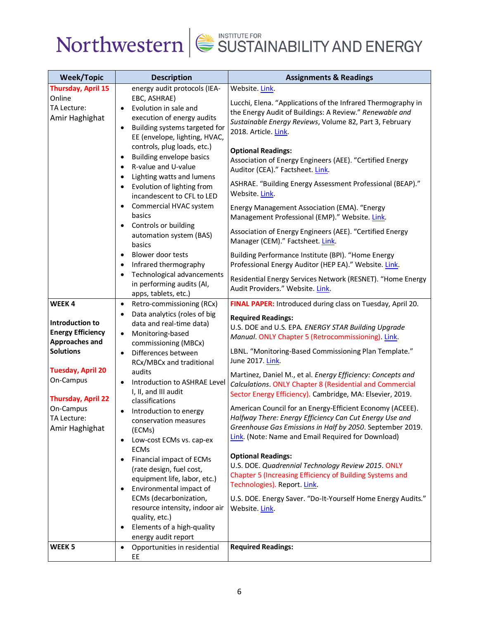

| <b>Week/Topic</b>                                                                                                                                                                                                      | <b>Description</b>                                                                                                                                                                                                                                                                                                                                                                     | <b>Assignments &amp; Readings</b>                                                                                                                                                                                                                                                                                                                                                                                                                                                                                                                                                                                                                                     |
|------------------------------------------------------------------------------------------------------------------------------------------------------------------------------------------------------------------------|----------------------------------------------------------------------------------------------------------------------------------------------------------------------------------------------------------------------------------------------------------------------------------------------------------------------------------------------------------------------------------------|-----------------------------------------------------------------------------------------------------------------------------------------------------------------------------------------------------------------------------------------------------------------------------------------------------------------------------------------------------------------------------------------------------------------------------------------------------------------------------------------------------------------------------------------------------------------------------------------------------------------------------------------------------------------------|
| Thursday, April 15                                                                                                                                                                                                     | energy audit protocols (IEA-                                                                                                                                                                                                                                                                                                                                                           | Website. Link.                                                                                                                                                                                                                                                                                                                                                                                                                                                                                                                                                                                                                                                        |
| Online<br>TA Lecture:<br>Amir Haghighat                                                                                                                                                                                | EBC, ASHRAE)<br>Evolution in sale and<br>$\bullet$<br>execution of energy audits<br>Building systems targeted for<br>$\bullet$<br>EE (envelope, lighting, HVAC,                                                                                                                                                                                                                        | Lucchi, Elena. "Applications of the Infrared Thermography in<br>the Energy Audit of Buildings: A Review." Renewable and<br>Sustainable Energy Reviews, Volume 82, Part 3, February<br>2018. Article. Link.                                                                                                                                                                                                                                                                                                                                                                                                                                                            |
|                                                                                                                                                                                                                        | controls, plug loads, etc.)<br>Building envelope basics<br>R-value and U-value<br>Lighting watts and lumens<br>Evolution of lighting from<br>incandescent to CFL to LED<br>Commercial HVAC system<br>basics<br>Controls or building<br>$\bullet$<br>automation system (BAS)                                                                                                            | <b>Optional Readings:</b><br>Association of Energy Engineers (AEE). "Certified Energy<br>Auditor (CEA)." Factsheet. Link.<br>ASHRAE. "Building Energy Assessment Professional (BEAP)."<br>Website. Link.<br>Energy Management Association (EMA). "Energy<br>Management Professional (EMP)." Website. Link.<br>Association of Energy Engineers (AEE). "Certified Energy                                                                                                                                                                                                                                                                                                |
|                                                                                                                                                                                                                        | basics<br>Blower door tests<br>$\bullet$<br>Infrared thermography<br>$\bullet$<br>Technological advancements                                                                                                                                                                                                                                                                           | Manager (CEM)." Factsheet. Link.<br>Building Performance Institute (BPI). "Home Energy<br>Professional Energy Auditor (HEP EA)." Website. Link.<br>Residential Energy Services Network (RESNET). "Home Energy                                                                                                                                                                                                                                                                                                                                                                                                                                                         |
|                                                                                                                                                                                                                        | in performing audits (AI,<br>apps, tablets, etc.)                                                                                                                                                                                                                                                                                                                                      | Audit Providers." Website. Link.                                                                                                                                                                                                                                                                                                                                                                                                                                                                                                                                                                                                                                      |
| WEEK 4<br>Introduction to<br><b>Energy Efficiency</b><br><b>Approaches and</b><br><b>Solutions</b><br><b>Tuesday, April 20</b><br>On-Campus<br><b>Thursday, April 22</b><br>On-Campus<br>TA Lecture:<br>Amir Haghighat | Retro-commissioning (RCx)<br>$\bullet$<br>Data analytics (roles of big<br>data and real-time data)<br>Monitoring-based<br>$\bullet$<br>commissioning (MBCx)<br>Differences between<br>$\bullet$<br>RCx/MBCx and traditional<br>audits<br>Introduction to ASHRAE Level<br>I, II, and III audit<br>classifications<br>Introduction to energy<br>٠<br>conservation measures<br>(ECMs)     | FINAL PAPER: Introduced during class on Tuesday, April 20.<br><b>Required Readings:</b><br>U.S. DOE and U.S. EPA. ENERGY STAR Building Upgrade<br>Manual. ONLY Chapter 5 (Retrocommissioning). Link.<br>LBNL. "Monitoring-Based Commissioning Plan Template."<br>June 2017. Link.<br>Martinez, Daniel M., et al. Energy Efficiency: Concepts and<br><b>Calculations. ONLY Chapter 8 (Residential and Commercial</b><br>Sector Energy Efficiency). Cambridge, MA: Elsevier, 2019.<br>American Council for an Energy-Efficient Economy (ACEEE).<br>Halfway There: Energy Efficiency Can Cut Energy Use and<br>Greenhouse Gas Emissions in Half by 2050. September 2019. |
| WEEK <sub>5</sub>                                                                                                                                                                                                      | Low-cost ECMs vs. cap-ex<br>$\bullet$<br><b>ECMs</b><br>Financial impact of ECMs<br>$\bullet$<br>(rate design, fuel cost,<br>equipment life, labor, etc.)<br>Environmental impact of<br>$\bullet$<br>ECMs (decarbonization,<br>resource intensity, indoor air<br>quality, etc.)<br>Elements of a high-quality<br>٠<br>energy audit report<br>Opportunities in residential<br>$\bullet$ | Link. (Note: Name and Email Required for Download)<br><b>Optional Readings:</b><br>U.S. DOE. Quadrennial Technology Review 2015. ONLY<br>Chapter 5 (Increasing Efficiency of Building Systems and<br>Technologies). Report. Link.<br>U.S. DOE. Energy Saver. "Do-It-Yourself Home Energy Audits."<br>Website. Link.<br><b>Required Readings:</b>                                                                                                                                                                                                                                                                                                                      |
|                                                                                                                                                                                                                        | EE                                                                                                                                                                                                                                                                                                                                                                                     |                                                                                                                                                                                                                                                                                                                                                                                                                                                                                                                                                                                                                                                                       |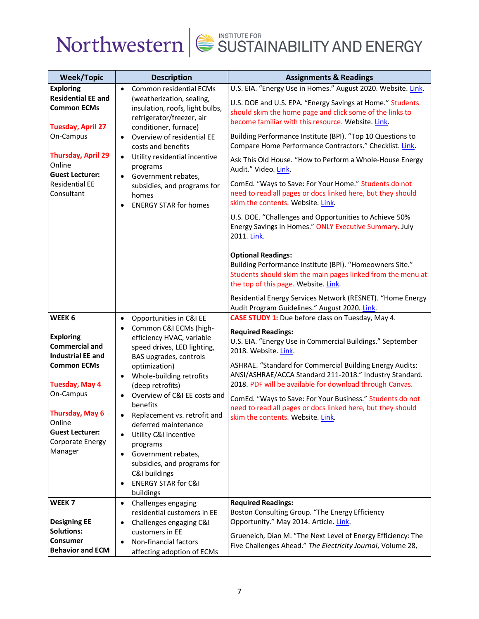

| <b>Week/Topic</b>                                                           | <b>Description</b>                                                                                                    | <b>Assignments &amp; Readings</b>                                                                                                                                                            |
|-----------------------------------------------------------------------------|-----------------------------------------------------------------------------------------------------------------------|----------------------------------------------------------------------------------------------------------------------------------------------------------------------------------------------|
| <b>Exploring</b>                                                            | Common residential ECMs<br>$\bullet$                                                                                  | U.S. EIA. "Energy Use in Homes." August 2020. Website. Link.                                                                                                                                 |
| <b>Residential EE and</b><br><b>Common ECMs</b><br><b>Tuesday, April 27</b> | (weatherization, sealing,<br>insulation, roofs, light bulbs,<br>refrigerator/freezer, air<br>conditioner, furnace)    | U.S. DOE and U.S. EPA. "Energy Savings at Home." Students<br>should skim the home page and click some of the links to<br>become familiar with this resource. Website. Link.                  |
| On-Campus                                                                   | Overview of residential EE<br>$\bullet$<br>costs and benefits                                                         | Building Performance Institute (BPI). "Top 10 Questions to<br>Compare Home Performance Contractors." Checklist. Link.                                                                        |
| <b>Thursday, April 29</b><br>Online<br><b>Guest Lecturer:</b>               | Utility residential incentive<br>$\bullet$<br>programs                                                                | Ask This Old House. "How to Perform a Whole-House Energy<br>Audit." Video. Link.                                                                                                             |
| <b>Residential EE</b><br>Consultant                                         | Government rebates,<br>$\bullet$<br>subsidies, and programs for<br>homes<br><b>ENERGY STAR for homes</b><br>$\bullet$ | ComEd. "Ways to Save: For Your Home." Students do not<br>need to read all pages or docs linked here, but they should<br>skim the contents. Website. Link.                                    |
|                                                                             |                                                                                                                       | U.S. DOE. "Challenges and Opportunities to Achieve 50%<br>Energy Savings in Homes." ONLY Executive Summary. July<br>2011. Link.                                                              |
|                                                                             |                                                                                                                       | <b>Optional Readings:</b><br>Building Performance Institute (BPI). "Homeowners Site."<br>Students should skim the main pages linked from the menu at<br>the top of this page. Website. Link. |
|                                                                             |                                                                                                                       | Residential Energy Services Network (RESNET). "Home Energy<br>Audit Program Guidelines." August 2020. Link.                                                                                  |
| WEEK 6                                                                      | Opportunities in C&I EE<br>$\bullet$                                                                                  | <b>CASE STUDY 1:</b> Due before class on Tuesday, May 4.                                                                                                                                     |
|                                                                             | Common C&I ECMs (high-<br>$\bullet$                                                                                   | <b>Required Readings:</b>                                                                                                                                                                    |
| <b>Exploring</b><br><b>Commercial and</b>                                   | efficiency HVAC, variable<br>speed drives, LED lighting,                                                              | U.S. EIA. "Energy Use in Commercial Buildings." September                                                                                                                                    |
| <b>Industrial EE and</b>                                                    | BAS upgrades, controls                                                                                                | 2018. Website. Link.                                                                                                                                                                         |
| <b>Common ECMs</b>                                                          | optimization)                                                                                                         | ASHRAE. "Standard for Commercial Building Energy Audits:                                                                                                                                     |
|                                                                             | Whole-building retrofits<br>$\bullet$                                                                                 | ANSI/ASHRAE/ACCA Standard 211-2018." Industry Standard.                                                                                                                                      |
| <b>Tuesday, May 4</b>                                                       | (deep retrofits)                                                                                                      | 2018. PDF will be available for download through Canvas.                                                                                                                                     |
| On-Campus                                                                   | Overview of C&I EE costs and<br>$\bullet$                                                                             | ComEd. "Ways to Save: For Your Business." Students do not                                                                                                                                    |
|                                                                             | benefits                                                                                                              | need to read all pages or docs linked here, but they should                                                                                                                                  |
| <b>Thursday, May 6</b><br>Online                                            | Replacement vs. retrofit and<br>٠                                                                                     | skim the contents. Website. Link.                                                                                                                                                            |
| <b>Guest Lecturer:</b>                                                      | deferred maintenance<br>Utility C&I incentive<br>$\bullet$                                                            |                                                                                                                                                                                              |
| Corporate Energy                                                            | programs                                                                                                              |                                                                                                                                                                                              |
| Manager                                                                     | Government rebates,<br>$\bullet$                                                                                      |                                                                                                                                                                                              |
|                                                                             | subsidies, and programs for                                                                                           |                                                                                                                                                                                              |
|                                                                             | C&I buildings                                                                                                         |                                                                                                                                                                                              |
|                                                                             | <b>ENERGY STAR for C&amp;I</b><br>$\bullet$                                                                           |                                                                                                                                                                                              |
|                                                                             | buildings                                                                                                             |                                                                                                                                                                                              |
| WEEK <sub>7</sub>                                                           | Challenges engaging<br>$\bullet$                                                                                      | <b>Required Readings:</b>                                                                                                                                                                    |
| <b>Designing EE</b>                                                         | residential customers in EE                                                                                           | Boston Consulting Group. "The Energy Efficiency<br>Opportunity." May 2014. Article. Link.                                                                                                    |
| <b>Solutions:</b>                                                           | Challenges engaging C&I<br>$\bullet$<br>customers in EE                                                               |                                                                                                                                                                                              |
| Consumer                                                                    | Non-financial factors<br>$\bullet$                                                                                    | Grueneich, Dian M. "The Next Level of Energy Efficiency: The                                                                                                                                 |
| <b>Behavior and ECM</b>                                                     | affecting adoption of ECMs                                                                                            | Five Challenges Ahead." The Electricity Journal, Volume 28,                                                                                                                                  |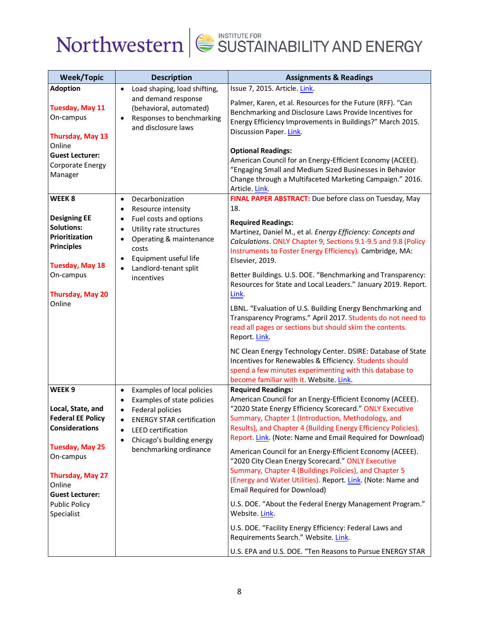

| <b>Week/Topic</b>                                                                           | <b>Description</b>                                                                                                                                                                                                                          | <b>Assignments &amp; Readings</b>                                                                                                                                                                                                                                                                                                        |
|---------------------------------------------------------------------------------------------|---------------------------------------------------------------------------------------------------------------------------------------------------------------------------------------------------------------------------------------------|------------------------------------------------------------------------------------------------------------------------------------------------------------------------------------------------------------------------------------------------------------------------------------------------------------------------------------------|
| <b>Adoption</b>                                                                             | Load shaping, load shifting,<br>$\bullet$                                                                                                                                                                                                   | Issue 7, 2015. Article. Link.                                                                                                                                                                                                                                                                                                            |
| <b>Tuesday, May 11</b><br>On-campus<br>Thursday, May 13                                     | and demand response<br>(behavioral, automated)<br>Responses to benchmarking<br>$\bullet$<br>and disclosure laws                                                                                                                             | Palmer, Karen, et al. Resources for the Future (RFF). "Can<br>Benchmarking and Disclosure Laws Provide Incentives for<br>Energy Efficiency Improvements in Buildings?" March 2015.<br>Discussion Paper. Link.                                                                                                                            |
| Online<br><b>Guest Lecturer:</b><br>Corporate Energy<br>Manager                             |                                                                                                                                                                                                                                             | <b>Optional Readings:</b><br>American Council for an Energy-Efficient Economy (ACEEE).<br>"Engaging Small and Medium Sized Businesses in Behavior<br>Change through a Multifaceted Marketing Campaign." 2016.<br>Article. Link                                                                                                           |
| WEEK <sub>8</sub><br><b>Designing EE</b><br><b>Solutions:</b>                               | Decarbonization<br>$\bullet$<br>Resource intensity<br>$\bullet$<br>Fuel costs and options<br>$\bullet$                                                                                                                                      | FINAL PAPER ABSTRACT: Due before class on Tuesday, May<br>18.<br><b>Required Readings:</b>                                                                                                                                                                                                                                               |
| Prioritization<br><b>Principles</b>                                                         | Utility rate structures<br>$\bullet$<br>Operating & maintenance<br>$\bullet$<br>costs<br>Equipment useful life<br>$\bullet$                                                                                                                 | Martinez, Daniel M., et al. Energy Efficiency: Concepts and<br>Calculations. ONLY Chapter 9, Sections 9.1-9.5 and 9.8 (Policy<br>Instruments to Foster Energy Efficiency). Cambridge, MA:<br>Elsevier, 2019.                                                                                                                             |
| <b>Tuesday, May 18</b><br>On-campus<br>Thursday, May 20                                     | Landlord-tenant split<br>$\bullet$<br>incentives                                                                                                                                                                                            | Better Buildings. U.S. DOE. "Benchmarking and Transparency:<br>Resources for State and Local Leaders." January 2019. Report.<br>Link.                                                                                                                                                                                                    |
| Online                                                                                      |                                                                                                                                                                                                                                             | LBNL. "Evaluation of U.S. Building Energy Benchmarking and<br>Transparency Programs." April 2017. Students do not need to<br>read all pages or sections but should skim the contents.<br>Report Link                                                                                                                                     |
|                                                                                             |                                                                                                                                                                                                                                             | NC Clean Energy Technology Center. DSIRE: Database of State<br>Incentives for Renewables & Efficiency. Students should<br>spend a few minutes experimenting with this database to<br>become familiar with it. Website. Link.                                                                                                             |
| WEEK <sub>9</sub><br>Local, State, and<br><b>Federal EE Policy</b><br><b>Considerations</b> | Examples of local policies<br>$\bullet$<br>Examples of state policies<br>Federal policies<br>$\bullet$<br><b>ENERGY STAR certification</b><br>$\bullet$<br><b>LEED</b> certification<br>$\bullet$<br>Chicago's building energy<br>$\bullet$ | <b>Required Readings:</b><br>American Council for an Energy-Efficient Economy (ACEEE).<br>"2020 State Energy Efficiency Scorecard." ONLY Executive<br>Summary, Chapter 1 (Introduction, Methodology, and<br>Results), and Chapter 4 (Building Energy Efficiency Policies).<br>Report. Link. (Note: Name and Email Required for Download) |
| <b>Tuesday, May 25</b><br>On-campus<br>Thursday, May 27<br>Online<br><b>Guest Lecturer:</b> | benchmarking ordinance                                                                                                                                                                                                                      | American Council for an Energy-Efficient Economy (ACEEE).<br>"2020 City Clean Energy Scorecard." ONLY Executive<br>Summary, Chapter 4 (Buildings Policies), and Chapter 5<br>(Energy and Water Utilities). Report. Link. (Note: Name and<br><b>Email Required for Download)</b>                                                          |
| <b>Public Policy</b><br>Specialist                                                          |                                                                                                                                                                                                                                             | U.S. DOE. "About the Federal Energy Management Program."<br>Website. Link.                                                                                                                                                                                                                                                               |
|                                                                                             |                                                                                                                                                                                                                                             | U.S. DOE. "Facility Energy Efficiency: Federal Laws and<br>Requirements Search." Website. Link.                                                                                                                                                                                                                                          |
|                                                                                             |                                                                                                                                                                                                                                             | U.S. EPA and U.S. DOE. "Ten Reasons to Pursue ENERGY STAR                                                                                                                                                                                                                                                                                |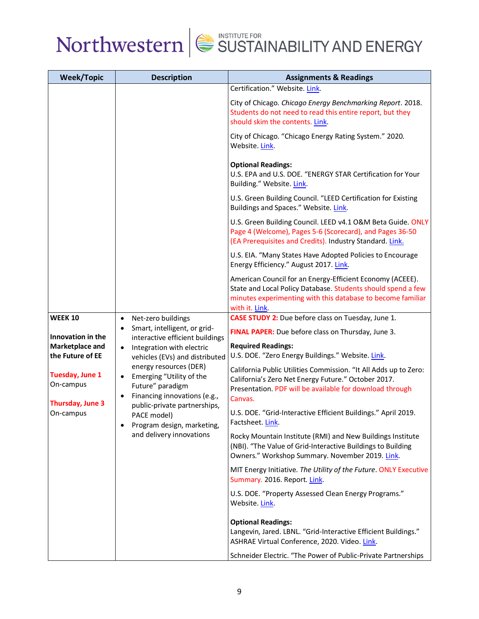

| <b>Week/Topic</b>                                       | <b>Description</b>                                                                                                                                                                                                                                                                                                                                           | <b>Assignments &amp; Readings</b>                                                                                                                                                                         |                                                                                |
|---------------------------------------------------------|--------------------------------------------------------------------------------------------------------------------------------------------------------------------------------------------------------------------------------------------------------------------------------------------------------------------------------------------------------------|-----------------------------------------------------------------------------------------------------------------------------------------------------------------------------------------------------------|--------------------------------------------------------------------------------|
|                                                         |                                                                                                                                                                                                                                                                                                                                                              | Certification." Website. Link.                                                                                                                                                                            |                                                                                |
|                                                         |                                                                                                                                                                                                                                                                                                                                                              | City of Chicago. Chicago Energy Benchmarking Report. 2018.<br>Students do not need to read this entire report, but they<br>should skim the contents. Link.                                                |                                                                                |
|                                                         |                                                                                                                                                                                                                                                                                                                                                              | City of Chicago. "Chicago Energy Rating System." 2020.<br>Website. Link.                                                                                                                                  |                                                                                |
|                                                         |                                                                                                                                                                                                                                                                                                                                                              | <b>Optional Readings:</b><br>U.S. EPA and U.S. DOE. "ENERGY STAR Certification for Your<br>Building." Website. Link.                                                                                      |                                                                                |
|                                                         |                                                                                                                                                                                                                                                                                                                                                              | U.S. Green Building Council. "LEED Certification for Existing<br>Buildings and Spaces." Website. Link.                                                                                                    |                                                                                |
|                                                         |                                                                                                                                                                                                                                                                                                                                                              | U.S. Green Building Council. LEED v4.1 O&M Beta Guide. ONLY<br>Page 4 (Welcome), Pages 5-6 (Scorecard), and Pages 36-50<br>(EA Prerequisites and Credits). Industry Standard. Link.                       |                                                                                |
|                                                         |                                                                                                                                                                                                                                                                                                                                                              | U.S. EIA. "Many States Have Adopted Policies to Encourage<br>Energy Efficiency." August 2017. Link.                                                                                                       |                                                                                |
|                                                         |                                                                                                                                                                                                                                                                                                                                                              | American Council for an Energy-Efficient Economy (ACEEE).<br>State and Local Policy Database. Students should spend a few<br>minutes experimenting with this database to become familiar<br>with it. Link |                                                                                |
| <b>WEEK 10</b>                                          | Net-zero buildings<br>$\bullet$                                                                                                                                                                                                                                                                                                                              | CASE STUDY 2: Due before class on Tuesday, June 1.                                                                                                                                                        |                                                                                |
| Innovation in the                                       | Smart, intelligent, or grid-<br>interactive efficient buildings<br>Integration with electric<br>$\bullet$<br>vehicles (EVs) and distributed<br>energy resources (DER)<br>Emerging "Utility of the<br>$\bullet$<br>Future" paradigm<br>Financing innovations (e.g.,<br>$\bullet$<br>public-private partnerships,<br>PACE model)<br>Program design, marketing, | FINAL PAPER: Due before class on Thursday, June 3.                                                                                                                                                        |                                                                                |
| Marketplace and<br>the Future of EE                     |                                                                                                                                                                                                                                                                                                                                                              |                                                                                                                                                                                                           | <b>Required Readings:</b><br>U.S. DOE. "Zero Energy Buildings." Website. Link. |
| <b>Tuesday, June 1</b><br>On-campus<br>Thursday, June 3 |                                                                                                                                                                                                                                                                                                                                                              | California Public Utilities Commission. "It All Adds up to Zero:<br>California's Zero Net Energy Future." October 2017.<br>Presentation. PDF will be available for download through<br>Canvas.            |                                                                                |
| On-campus                                               |                                                                                                                                                                                                                                                                                                                                                              | U.S. DOE. "Grid-Interactive Efficient Buildings." April 2019.<br>Factsheet. Link.                                                                                                                         |                                                                                |
|                                                         | and delivery innovations                                                                                                                                                                                                                                                                                                                                     | Rocky Mountain Institute (RMI) and New Buildings Institute<br>(NBI). "The Value of Grid-Interactive Buildings to Building<br>Owners." Workshop Summary. November 2019. Link.                              |                                                                                |
|                                                         |                                                                                                                                                                                                                                                                                                                                                              | MIT Energy Initiative. The Utility of the Future. ONLY Executive<br>Summary. 2016. Report. Link.                                                                                                          |                                                                                |
|                                                         |                                                                                                                                                                                                                                                                                                                                                              | U.S. DOE. "Property Assessed Clean Energy Programs."<br>Website. Link.                                                                                                                                    |                                                                                |
|                                                         |                                                                                                                                                                                                                                                                                                                                                              | <b>Optional Readings:</b><br>Langevin, Jared. LBNL. "Grid-Interactive Efficient Buildings."<br>ASHRAE Virtual Conference, 2020. Video. Link.                                                              |                                                                                |
|                                                         |                                                                                                                                                                                                                                                                                                                                                              | Schneider Electric. "The Power of Public-Private Partnerships                                                                                                                                             |                                                                                |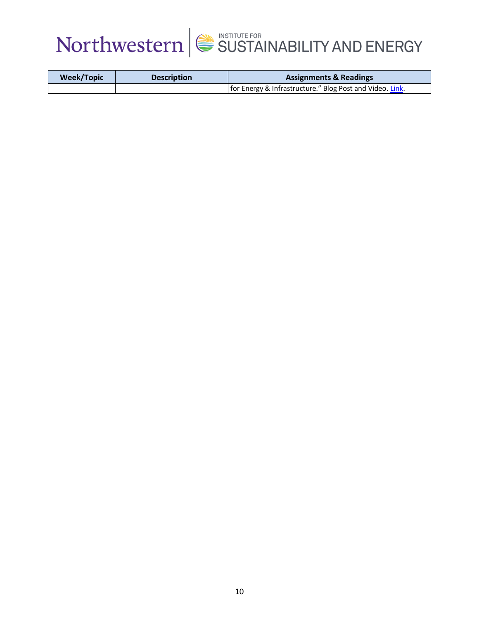

| <b>Week/Topic</b> | <b>Description</b> | <b>Assignments &amp; Readings</b>                        |
|-------------------|--------------------|----------------------------------------------------------|
|                   |                    | for Energy & Infrastructure." Blog Post and Video. Link. |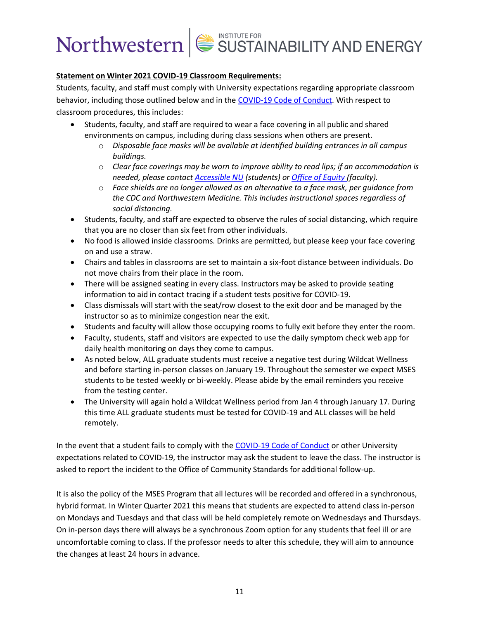## **Statement on Winter 2021 COVID-19 Classroom Requirements:**

Students, faculty, and staff must comply with University expectations regarding appropriate classroom behavior, including those outlined below and in the [COVID-19 Code of Conduct.](https://www.northwestern.edu/communitystandards/about-us/northwestern-university-student-expectations-covid-19-code-of-conduct.html) With respect to classroom procedures, this includes:

- Students, faculty, and staff are required to wear a face covering in all public and shared environments on campus, including during class sessions when others are present.
	- o *Disposable face masks will be available at identified building entrances in all campus buildings.*
	- o *Clear face coverings may be worn to improve ability to read lips; if an accommodation is needed, please contact [Accessible NU](https://www.northwestern.edu/accessiblenu/) (students) or [Office of Equity](https://www.northwestern.edu/equity/) (faculty).*
	- o *Face shields are no longer allowed as an alternative to a face mask, per guidance from the CDC and Northwestern Medicine. This includes instructional spaces regardless of social distancing.*
- Students, faculty, and staff are expected to observe the rules of social distancing, which require that you are no closer than six feet from other individuals.
- No food is allowed inside classrooms. Drinks are permitted, but please keep your face covering on and use a straw.
- Chairs and tables in classrooms are set to maintain a six-foot distance between individuals. Do not move chairs from their place in the room.
- There will be assigned seating in every class. Instructors may be asked to provide seating information to aid in contact tracing if a student tests positive for COVID-19.
- Class dismissals will start with the seat/row closest to the exit door and be managed by the instructor so as to minimize congestion near the exit.
- Students and faculty will allow those occupying rooms to fully exit before they enter the room.
- Faculty, students, staff and visitors are expected to use the daily symptom check web app for daily health monitoring on days they come to campus.
- As noted below, ALL graduate students must receive a negative test during Wildcat Wellness and before starting in-person classes on January 19. Throughout the semester we expect MSES students to be tested weekly or bi-weekly. Please abide by the email reminders you receive from the testing center.
- The University will again hold a Wildcat Wellness period from Jan 4 through January 17. During this time ALL graduate students must be tested for COVID-19 and ALL classes will be held remotely.

In the event that a student fails to comply with the [COVID-19 Code of Conduct](https://www.northwestern.edu/communitystandards/about-us/northwestern-university-student-expectations-covid-19-code-of-conduct.html) or other University expectations related to COVID-19, the instructor may ask the student to leave the class. The instructor is asked to report the incident to the Office of Community Standards for additional follow-up.

It is also the policy of the MSES Program that all lectures will be recorded and offered in a synchronous, hybrid format. In Winter Quarter 2021 this means that students are expected to attend class in-person on Mondays and Tuesdays and that class will be held completely remote on Wednesdays and Thursdays. On in-person days there will always be a synchronous Zoom option for any students that feel ill or are uncomfortable coming to class. If the professor needs to alter this schedule, they will aim to announce the changes at least 24 hours in advance.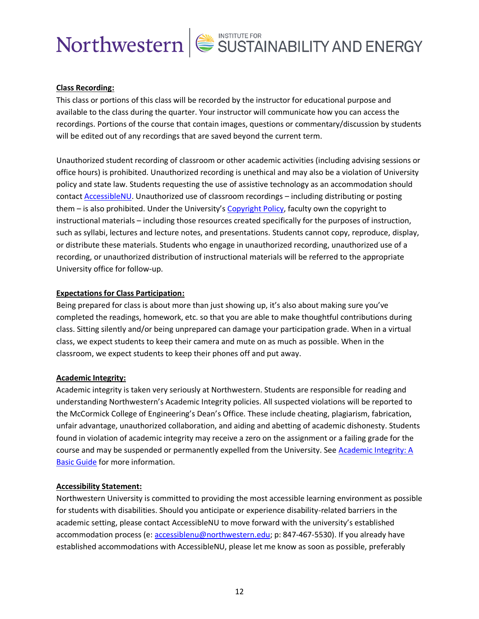## **Class Recording:**

This class or portions of this class will be recorded by the instructor for educational purpose and available to the class during the quarter. Your instructor will communicate how you can access the recordings. Portions of the course that contain images, questions or commentary/discussion by students will be edited out of any recordings that are saved beyond the current term.

Unauthorized student recording of classroom or other academic activities (including advising sessions or office hours) is prohibited. Unauthorized recording is unethical and may also be a violation of University policy and state law. Students requesting the use of assistive technology as an accommodation should contact **AccessibleNU**. Unauthorized use of classroom recordings – including distributing or posting them – is also prohibited. Under the University's [Copyright Policy,](https://www.invo.northwestern.edu/invention-disclosure/policies-forms/copyright-policy/) faculty own the copyright to instructional materials – including those resources created specifically for the purposes of instruction, such as syllabi, lectures and lecture notes, and presentations. Students cannot copy, reproduce, display, or distribute these materials. Students who engage in unauthorized recording, unauthorized use of a recording, or unauthorized distribution of instructional materials will be referred to the appropriate University office for follow-up.

## **Expectations for Class Participation:**

Being prepared for class is about more than just showing up, it's also about making sure you've completed the readings, homework, etc. so that you are able to make thoughtful contributions during class. Sitting silently and/or being unprepared can damage your participation grade. When in a virtual class, we expect students to keep their camera and mute on as much as possible. When in the classroom, we expect students to keep their phones off and put away.

## **Academic Integrity:**

Academic integrity is taken very seriously at Northwestern. Students are responsible for reading and understanding Northwestern's Academic Integrity policies. All suspected violations will be reported to the McCormick College of Engineering's Dean's Office. These include cheating, plagiarism, fabrication, unfair advantage, unauthorized collaboration, and aiding and abetting of academic dishonesty. Students found in violation of academic integrity may receive a zero on the assignment or a failing grade for the course and may be suspended or permanently expelled from the University. See Academic Integrity: A [Basic Guide](https://www.northwestern.edu/provost/policies/academic-integrity/Academic-Integrity-Guide-August-2019.pdf) for more information.

## **Accessibility Statement:**

Northwestern University is committed to providing the most accessible learning environment as possible for students with disabilities. Should you anticipate or experience disability-related barriers in the academic setting, please contact AccessibleNU to move forward with the university's established accommodation process (e: [accessiblenu@northwestern.edu;](mailto:accessiblenu@northwestern.edu) p: 847-467-5530). If you already have established accommodations with AccessibleNU, please let me know as soon as possible, preferably